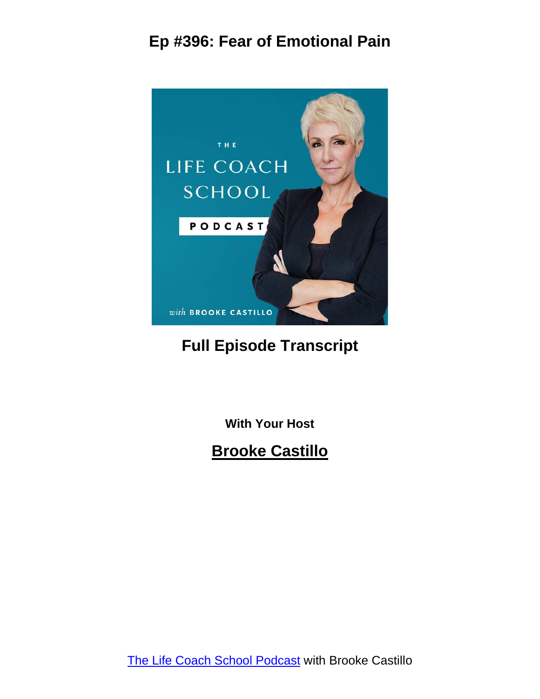

#### **Full Episode Transcript**

**With Your Host**

**Brooke Castillo**

The Life Coach School [Podcast](http://www.thelifecoachschool.com/) with Brooke Castillo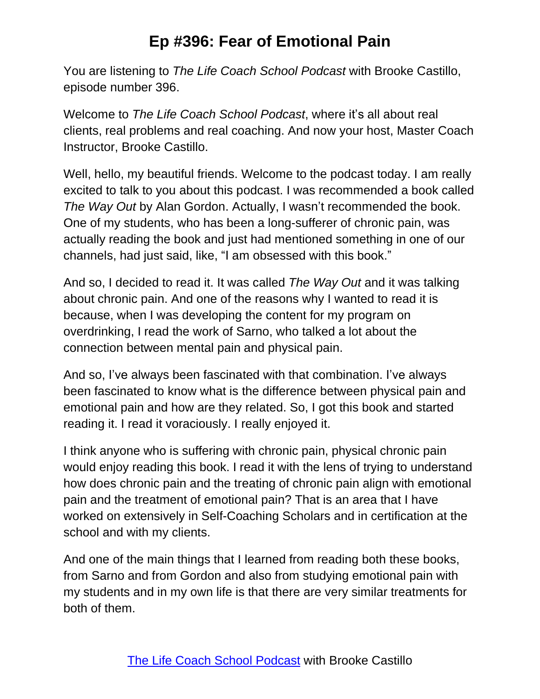You are listening to *The Life Coach School Podcast* with Brooke Castillo, episode number 396.

Welcome to *The Life Coach School Podcast*, where it's all about real clients, real problems and real coaching. And now your host, Master Coach Instructor, Brooke Castillo.

Well, hello, my beautiful friends. Welcome to the podcast today. I am really excited to talk to you about this podcast. I was recommended a book called *The Way Out* by Alan Gordon. Actually, I wasn't recommended the book. One of my students, who has been a long-sufferer of chronic pain, was actually reading the book and just had mentioned something in one of our channels, had just said, like, "I am obsessed with this book."

And so, I decided to read it. It was called *The Way Out* and it was talking about chronic pain. And one of the reasons why I wanted to read it is because, when I was developing the content for my program on overdrinking, I read the work of Sarno, who talked a lot about the connection between mental pain and physical pain.

And so, I've always been fascinated with that combination. I've always been fascinated to know what is the difference between physical pain and emotional pain and how are they related. So, I got this book and started reading it. I read it voraciously. I really enjoyed it.

I think anyone who is suffering with chronic pain, physical chronic pain would enjoy reading this book. I read it with the lens of trying to understand how does chronic pain and the treating of chronic pain align with emotional pain and the treatment of emotional pain? That is an area that I have worked on extensively in Self-Coaching Scholars and in certification at the school and with my clients.

And one of the main things that I learned from reading both these books, from Sarno and from Gordon and also from studying emotional pain with my students and in my own life is that there are very similar treatments for both of them.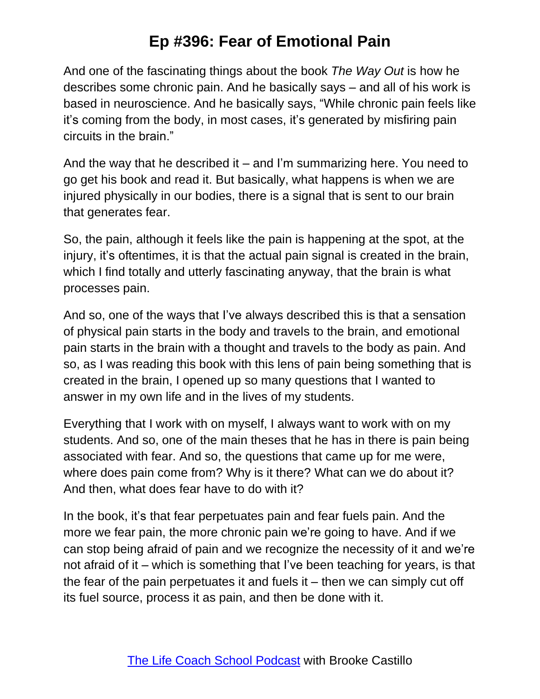And one of the fascinating things about the book *The Way Out* is how he describes some chronic pain. And he basically says – and all of his work is based in neuroscience. And he basically says, "While chronic pain feels like it's coming from the body, in most cases, it's generated by misfiring pain circuits in the brain."

And the way that he described it – and I'm summarizing here. You need to go get his book and read it. But basically, what happens is when we are injured physically in our bodies, there is a signal that is sent to our brain that generates fear.

So, the pain, although it feels like the pain is happening at the spot, at the injury, it's oftentimes, it is that the actual pain signal is created in the brain, which I find totally and utterly fascinating anyway, that the brain is what processes pain.

And so, one of the ways that I've always described this is that a sensation of physical pain starts in the body and travels to the brain, and emotional pain starts in the brain with a thought and travels to the body as pain. And so, as I was reading this book with this lens of pain being something that is created in the brain, I opened up so many questions that I wanted to answer in my own life and in the lives of my students.

Everything that I work with on myself, I always want to work with on my students. And so, one of the main theses that he has in there is pain being associated with fear. And so, the questions that came up for me were, where does pain come from? Why is it there? What can we do about it? And then, what does fear have to do with it?

In the book, it's that fear perpetuates pain and fear fuels pain. And the more we fear pain, the more chronic pain we're going to have. And if we can stop being afraid of pain and we recognize the necessity of it and we're not afraid of it – which is something that I've been teaching for years, is that the fear of the pain perpetuates it and fuels it – then we can simply cut off its fuel source, process it as pain, and then be done with it.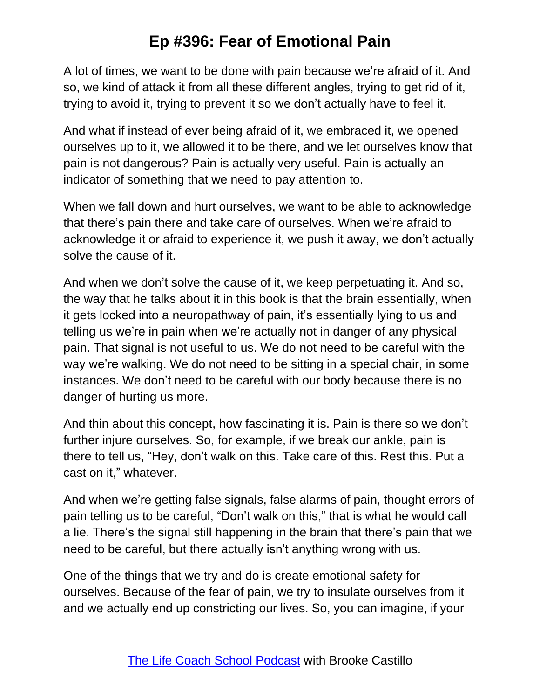A lot of times, we want to be done with pain because we're afraid of it. And so, we kind of attack it from all these different angles, trying to get rid of it, trying to avoid it, trying to prevent it so we don't actually have to feel it.

And what if instead of ever being afraid of it, we embraced it, we opened ourselves up to it, we allowed it to be there, and we let ourselves know that pain is not dangerous? Pain is actually very useful. Pain is actually an indicator of something that we need to pay attention to.

When we fall down and hurt ourselves, we want to be able to acknowledge that there's pain there and take care of ourselves. When we're afraid to acknowledge it or afraid to experience it, we push it away, we don't actually solve the cause of it.

And when we don't solve the cause of it, we keep perpetuating it. And so, the way that he talks about it in this book is that the brain essentially, when it gets locked into a neuropathway of pain, it's essentially lying to us and telling us we're in pain when we're actually not in danger of any physical pain. That signal is not useful to us. We do not need to be careful with the way we're walking. We do not need to be sitting in a special chair, in some instances. We don't need to be careful with our body because there is no danger of hurting us more.

And thin about this concept, how fascinating it is. Pain is there so we don't further injure ourselves. So, for example, if we break our ankle, pain is there to tell us, "Hey, don't walk on this. Take care of this. Rest this. Put a cast on it," whatever.

And when we're getting false signals, false alarms of pain, thought errors of pain telling us to be careful, "Don't walk on this," that is what he would call a lie. There's the signal still happening in the brain that there's pain that we need to be careful, but there actually isn't anything wrong with us.

One of the things that we try and do is create emotional safety for ourselves. Because of the fear of pain, we try to insulate ourselves from it and we actually end up constricting our lives. So, you can imagine, if your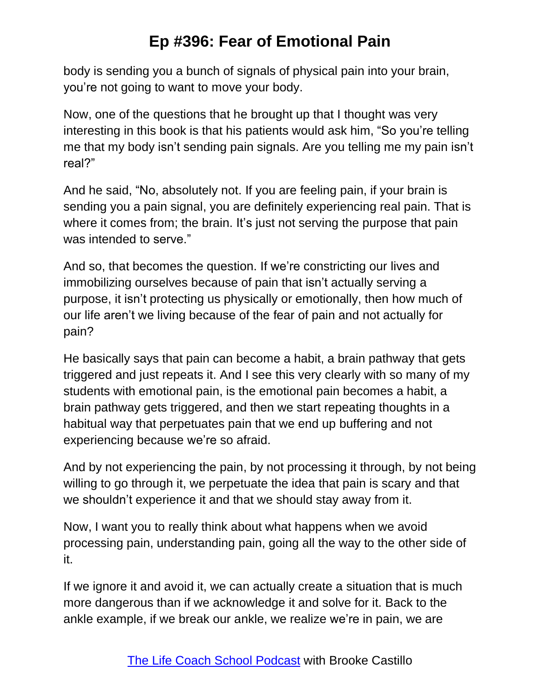body is sending you a bunch of signals of physical pain into your brain, you're not going to want to move your body.

Now, one of the questions that he brought up that I thought was very interesting in this book is that his patients would ask him, "So you're telling me that my body isn't sending pain signals. Are you telling me my pain isn't real?"

And he said, "No, absolutely not. If you are feeling pain, if your brain is sending you a pain signal, you are definitely experiencing real pain. That is where it comes from; the brain. It's just not serving the purpose that pain was intended to serve."

And so, that becomes the question. If we're constricting our lives and immobilizing ourselves because of pain that isn't actually serving a purpose, it isn't protecting us physically or emotionally, then how much of our life aren't we living because of the fear of pain and not actually for pain?

He basically says that pain can become a habit, a brain pathway that gets triggered and just repeats it. And I see this very clearly with so many of my students with emotional pain, is the emotional pain becomes a habit, a brain pathway gets triggered, and then we start repeating thoughts in a habitual way that perpetuates pain that we end up buffering and not experiencing because we're so afraid.

And by not experiencing the pain, by not processing it through, by not being willing to go through it, we perpetuate the idea that pain is scary and that we shouldn't experience it and that we should stay away from it.

Now, I want you to really think about what happens when we avoid processing pain, understanding pain, going all the way to the other side of it.

If we ignore it and avoid it, we can actually create a situation that is much more dangerous than if we acknowledge it and solve for it. Back to the ankle example, if we break our ankle, we realize we're in pain, we are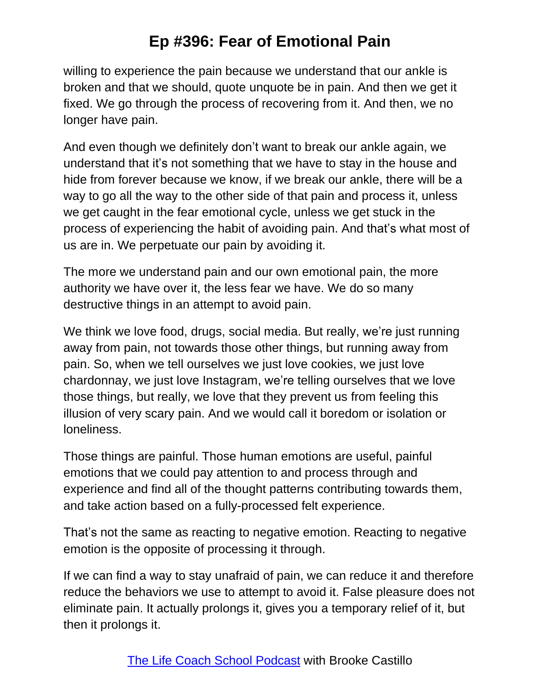willing to experience the pain because we understand that our ankle is broken and that we should, quote unquote be in pain. And then we get it fixed. We go through the process of recovering from it. And then, we no longer have pain.

And even though we definitely don't want to break our ankle again, we understand that it's not something that we have to stay in the house and hide from forever because we know, if we break our ankle, there will be a way to go all the way to the other side of that pain and process it, unless we get caught in the fear emotional cycle, unless we get stuck in the process of experiencing the habit of avoiding pain. And that's what most of us are in. We perpetuate our pain by avoiding it.

The more we understand pain and our own emotional pain, the more authority we have over it, the less fear we have. We do so many destructive things in an attempt to avoid pain.

We think we love food, drugs, social media. But really, we're just running away from pain, not towards those other things, but running away from pain. So, when we tell ourselves we just love cookies, we just love chardonnay, we just love Instagram, we're telling ourselves that we love those things, but really, we love that they prevent us from feeling this illusion of very scary pain. And we would call it boredom or isolation or loneliness.

Those things are painful. Those human emotions are useful, painful emotions that we could pay attention to and process through and experience and find all of the thought patterns contributing towards them, and take action based on a fully-processed felt experience.

That's not the same as reacting to negative emotion. Reacting to negative emotion is the opposite of processing it through.

If we can find a way to stay unafraid of pain, we can reduce it and therefore reduce the behaviors we use to attempt to avoid it. False pleasure does not eliminate pain. It actually prolongs it, gives you a temporary relief of it, but then it prolongs it.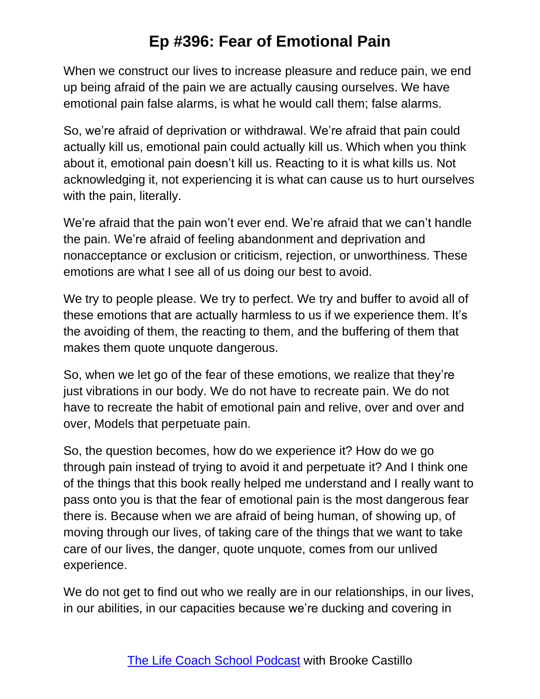When we construct our lives to increase pleasure and reduce pain, we end up being afraid of the pain we are actually causing ourselves. We have emotional pain false alarms, is what he would call them; false alarms.

So, we're afraid of deprivation or withdrawal. We're afraid that pain could actually kill us, emotional pain could actually kill us. Which when you think about it, emotional pain doesn't kill us. Reacting to it is what kills us. Not acknowledging it, not experiencing it is what can cause us to hurt ourselves with the pain, literally.

We're afraid that the pain won't ever end. We're afraid that we can't handle the pain. We're afraid of feeling abandonment and deprivation and nonacceptance or exclusion or criticism, rejection, or unworthiness. These emotions are what I see all of us doing our best to avoid.

We try to people please. We try to perfect. We try and buffer to avoid all of these emotions that are actually harmless to us if we experience them. It's the avoiding of them, the reacting to them, and the buffering of them that makes them quote unquote dangerous.

So, when we let go of the fear of these emotions, we realize that they're just vibrations in our body. We do not have to recreate pain. We do not have to recreate the habit of emotional pain and relive, over and over and over, Models that perpetuate pain.

So, the question becomes, how do we experience it? How do we go through pain instead of trying to avoid it and perpetuate it? And I think one of the things that this book really helped me understand and I really want to pass onto you is that the fear of emotional pain is the most dangerous fear there is. Because when we are afraid of being human, of showing up, of moving through our lives, of taking care of the things that we want to take care of our lives, the danger, quote unquote, comes from our unlived experience.

We do not get to find out who we really are in our relationships, in our lives, in our abilities, in our capacities because we're ducking and covering in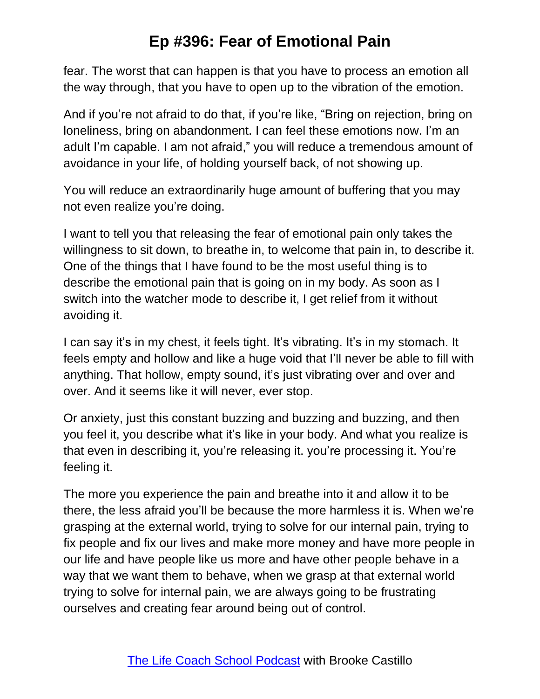fear. The worst that can happen is that you have to process an emotion all the way through, that you have to open up to the vibration of the emotion.

And if you're not afraid to do that, if you're like, "Bring on rejection, bring on loneliness, bring on abandonment. I can feel these emotions now. I'm an adult I'm capable. I am not afraid," you will reduce a tremendous amount of avoidance in your life, of holding yourself back, of not showing up.

You will reduce an extraordinarily huge amount of buffering that you may not even realize you're doing.

I want to tell you that releasing the fear of emotional pain only takes the willingness to sit down, to breathe in, to welcome that pain in, to describe it. One of the things that I have found to be the most useful thing is to describe the emotional pain that is going on in my body. As soon as I switch into the watcher mode to describe it, I get relief from it without avoiding it.

I can say it's in my chest, it feels tight. It's vibrating. It's in my stomach. It feels empty and hollow and like a huge void that I'll never be able to fill with anything. That hollow, empty sound, it's just vibrating over and over and over. And it seems like it will never, ever stop.

Or anxiety, just this constant buzzing and buzzing and buzzing, and then you feel it, you describe what it's like in your body. And what you realize is that even in describing it, you're releasing it. you're processing it. You're feeling it.

The more you experience the pain and breathe into it and allow it to be there, the less afraid you'll be because the more harmless it is. When we're grasping at the external world, trying to solve for our internal pain, trying to fix people and fix our lives and make more money and have more people in our life and have people like us more and have other people behave in a way that we want them to behave, when we grasp at that external world trying to solve for internal pain, we are always going to be frustrating ourselves and creating fear around being out of control.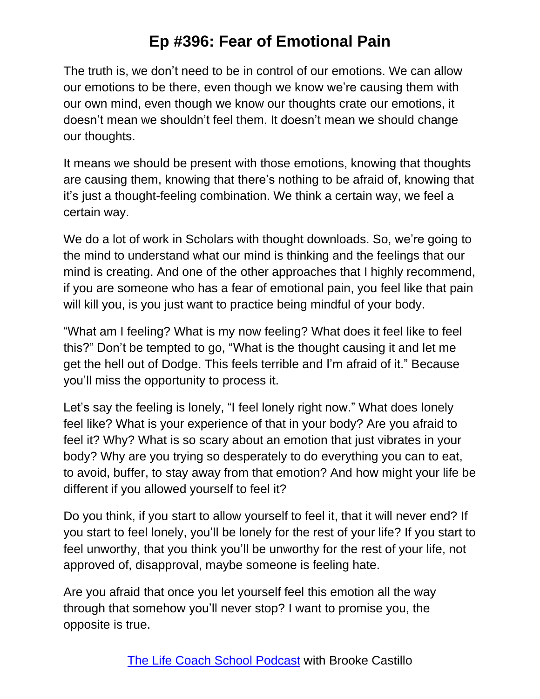The truth is, we don't need to be in control of our emotions. We can allow our emotions to be there, even though we know we're causing them with our own mind, even though we know our thoughts crate our emotions, it doesn't mean we shouldn't feel them. It doesn't mean we should change our thoughts.

It means we should be present with those emotions, knowing that thoughts are causing them, knowing that there's nothing to be afraid of, knowing that it's just a thought-feeling combination. We think a certain way, we feel a certain way.

We do a lot of work in Scholars with thought downloads. So, we're going to the mind to understand what our mind is thinking and the feelings that our mind is creating. And one of the other approaches that I highly recommend, if you are someone who has a fear of emotional pain, you feel like that pain will kill you, is you just want to practice being mindful of your body.

"What am I feeling? What is my now feeling? What does it feel like to feel this?" Don't be tempted to go, "What is the thought causing it and let me get the hell out of Dodge. This feels terrible and I'm afraid of it." Because you'll miss the opportunity to process it.

Let's say the feeling is lonely, "I feel lonely right now." What does lonely feel like? What is your experience of that in your body? Are you afraid to feel it? Why? What is so scary about an emotion that just vibrates in your body? Why are you trying so desperately to do everything you can to eat, to avoid, buffer, to stay away from that emotion? And how might your life be different if you allowed yourself to feel it?

Do you think, if you start to allow yourself to feel it, that it will never end? If you start to feel lonely, you'll be lonely for the rest of your life? If you start to feel unworthy, that you think you'll be unworthy for the rest of your life, not approved of, disapproval, maybe someone is feeling hate.

Are you afraid that once you let yourself feel this emotion all the way through that somehow you'll never stop? I want to promise you, the opposite is true.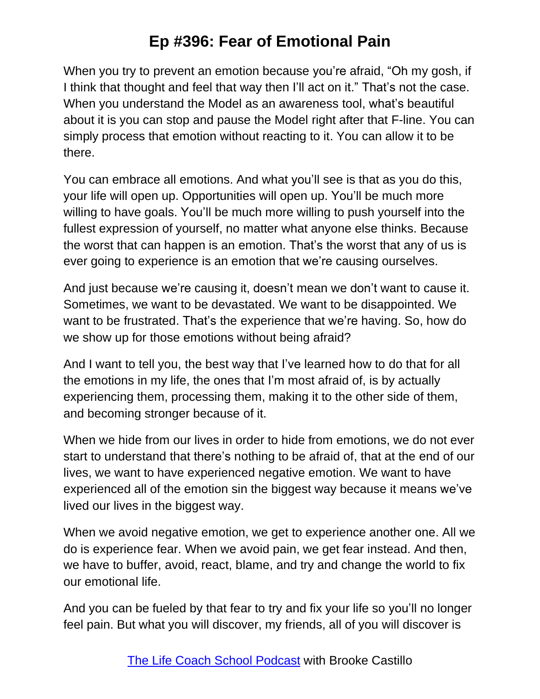When you try to prevent an emotion because you're afraid, "Oh my gosh, if I think that thought and feel that way then I'll act on it." That's not the case. When you understand the Model as an awareness tool, what's beautiful about it is you can stop and pause the Model right after that F-line. You can simply process that emotion without reacting to it. You can allow it to be there.

You can embrace all emotions. And what you'll see is that as you do this, your life will open up. Opportunities will open up. You'll be much more willing to have goals. You'll be much more willing to push yourself into the fullest expression of yourself, no matter what anyone else thinks. Because the worst that can happen is an emotion. That's the worst that any of us is ever going to experience is an emotion that we're causing ourselves.

And just because we're causing it, doesn't mean we don't want to cause it. Sometimes, we want to be devastated. We want to be disappointed. We want to be frustrated. That's the experience that we're having. So, how do we show up for those emotions without being afraid?

And I want to tell you, the best way that I've learned how to do that for all the emotions in my life, the ones that I'm most afraid of, is by actually experiencing them, processing them, making it to the other side of them, and becoming stronger because of it.

When we hide from our lives in order to hide from emotions, we do not ever start to understand that there's nothing to be afraid of, that at the end of our lives, we want to have experienced negative emotion. We want to have experienced all of the emotion sin the biggest way because it means we've lived our lives in the biggest way.

When we avoid negative emotion, we get to experience another one. All we do is experience fear. When we avoid pain, we get fear instead. And then, we have to buffer, avoid, react, blame, and try and change the world to fix our emotional life.

And you can be fueled by that fear to try and fix your life so you'll no longer feel pain. But what you will discover, my friends, all of you will discover is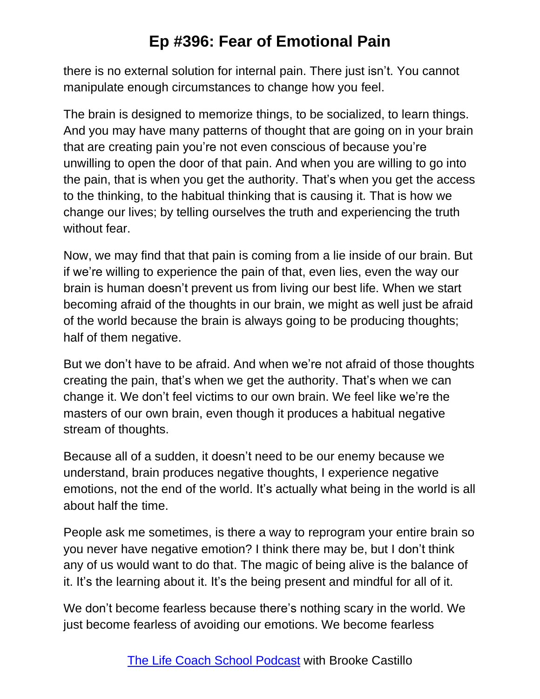there is no external solution for internal pain. There just isn't. You cannot manipulate enough circumstances to change how you feel.

The brain is designed to memorize things, to be socialized, to learn things. And you may have many patterns of thought that are going on in your brain that are creating pain you're not even conscious of because you're unwilling to open the door of that pain. And when you are willing to go into the pain, that is when you get the authority. That's when you get the access to the thinking, to the habitual thinking that is causing it. That is how we change our lives; by telling ourselves the truth and experiencing the truth without fear.

Now, we may find that that pain is coming from a lie inside of our brain. But if we're willing to experience the pain of that, even lies, even the way our brain is human doesn't prevent us from living our best life. When we start becoming afraid of the thoughts in our brain, we might as well just be afraid of the world because the brain is always going to be producing thoughts; half of them negative.

But we don't have to be afraid. And when we're not afraid of those thoughts creating the pain, that's when we get the authority. That's when we can change it. We don't feel victims to our own brain. We feel like we're the masters of our own brain, even though it produces a habitual negative stream of thoughts.

Because all of a sudden, it doesn't need to be our enemy because we understand, brain produces negative thoughts, I experience negative emotions, not the end of the world. It's actually what being in the world is all about half the time.

People ask me sometimes, is there a way to reprogram your entire brain so you never have negative emotion? I think there may be, but I don't think any of us would want to do that. The magic of being alive is the balance of it. It's the learning about it. It's the being present and mindful for all of it.

We don't become fearless because there's nothing scary in the world. We just become fearless of avoiding our emotions. We become fearless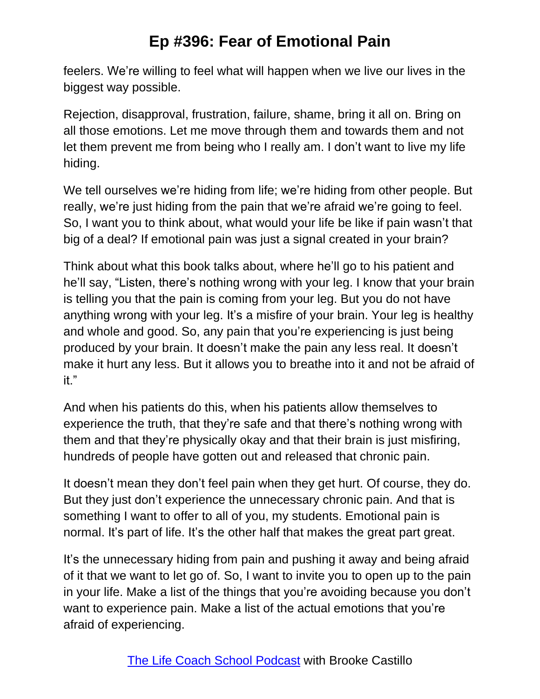feelers. We're willing to feel what will happen when we live our lives in the biggest way possible.

Rejection, disapproval, frustration, failure, shame, bring it all on. Bring on all those emotions. Let me move through them and towards them and not let them prevent me from being who I really am. I don't want to live my life hiding.

We tell ourselves we're hiding from life; we're hiding from other people. But really, we're just hiding from the pain that we're afraid we're going to feel. So, I want you to think about, what would your life be like if pain wasn't that big of a deal? If emotional pain was just a signal created in your brain?

Think about what this book talks about, where he'll go to his patient and he'll say, "Listen, there's nothing wrong with your leg. I know that your brain is telling you that the pain is coming from your leg. But you do not have anything wrong with your leg. It's a misfire of your brain. Your leg is healthy and whole and good. So, any pain that you're experiencing is just being produced by your brain. It doesn't make the pain any less real. It doesn't make it hurt any less. But it allows you to breathe into it and not be afraid of it."

And when his patients do this, when his patients allow themselves to experience the truth, that they're safe and that there's nothing wrong with them and that they're physically okay and that their brain is just misfiring, hundreds of people have gotten out and released that chronic pain.

It doesn't mean they don't feel pain when they get hurt. Of course, they do. But they just don't experience the unnecessary chronic pain. And that is something I want to offer to all of you, my students. Emotional pain is normal. It's part of life. It's the other half that makes the great part great.

It's the unnecessary hiding from pain and pushing it away and being afraid of it that we want to let go of. So, I want to invite you to open up to the pain in your life. Make a list of the things that you're avoiding because you don't want to experience pain. Make a list of the actual emotions that you're afraid of experiencing.